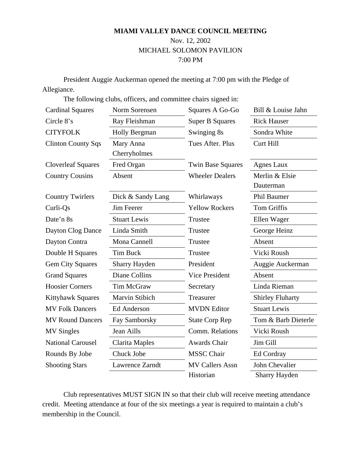# **MIAMI VALLEY DANCE COUNCIL MEETING**  Nov. 12, 2002 MICHAEL SOLOMON PAVILION 7:00 PM

President Auggie Auckerman opened the meeting at 7:00 pm with the Pledge of Allegiance.

The following clubs, officers, and committee chairs signed in:

| <b>Cardinal Squares</b>   | Norm Sorensen         | Squares A Go-Go          | Bill & Louise Jahn      |
|---------------------------|-----------------------|--------------------------|-------------------------|
| Circle 8's                | Ray Fleishman         | <b>Super B Squares</b>   | <b>Rick Hauser</b>      |
| <b>CITYFOLK</b>           | <b>Holly Bergman</b>  | Swinging 8s              | Sondra White            |
| <b>Clinton County Sqs</b> | Mary Anna             | Tues After. Plus         | Curt Hill               |
|                           | Cherryholmes          |                          |                         |
| <b>Cloverleaf Squares</b> | Fred Organ            | <b>Twin Base Squares</b> | Agnes Laux              |
| <b>Country Cousins</b>    | Absent                | <b>Wheeler Dealers</b>   | Merlin & Elsie          |
|                           |                       |                          | Dauterman               |
| <b>Country Twirlers</b>   | Dick & Sandy Lang     | Whirlaways               | <b>Phil Baumer</b>      |
| Curli-Qs                  | Jim Feerer            | <b>Yellow Rockers</b>    | <b>Tom Griffis</b>      |
| Date'n 8s                 | <b>Stuart Lewis</b>   | Trustee                  | Ellen Wager             |
| Dayton Clog Dance         | Linda Smith           | Trustee                  | George Heinz            |
| Dayton Contra             | Mona Cannell          | Trustee                  | Absent                  |
| Double H Squares          | <b>Tim Buck</b>       | Trustee                  | Vicki Roush             |
| <b>Gem City Squares</b>   | <b>Sharry Hayden</b>  | President                | Auggie Auckerman        |
| <b>Grand Squares</b>      | <b>Diane Collins</b>  | <b>Vice President</b>    | Absent                  |
| <b>Hoosier Corners</b>    | Tim McGraw            | Secretary                | Linda Rieman            |
| <b>Kittyhawk Squares</b>  | Marvin Stibich        | Treasurer                | <b>Shirley Fluharty</b> |
| <b>MV Folk Dancers</b>    | <b>Ed Anderson</b>    | <b>MVDN</b> Editor       | <b>Stuart Lewis</b>     |
| <b>MV Round Dancers</b>   | Fay Samborsky         | <b>State Corp Rep</b>    | Tom & Barb Dieterle     |
| <b>MV</b> Singles         | <b>Jean Aills</b>     | Comm. Relations          | Vicki Roush             |
| <b>National Carousel</b>  | <b>Clarita Maples</b> | Awards Chair             | Jim Gill                |
| Rounds By Jobe            | Chuck Jobe            | <b>MSSC</b> Chair        | Ed Cordray              |
| <b>Shooting Stars</b>     | Lawrence Zarndt       | <b>MV Callers Assn</b>   | John Chevalier          |
|                           |                       | Historian                | Sharry Hayden           |

Club representatives MUST SIGN IN so that their club will receive meeting attendance credit. Meeting attendance at four of the six meetings a year is required to maintain a club's membership in the Council.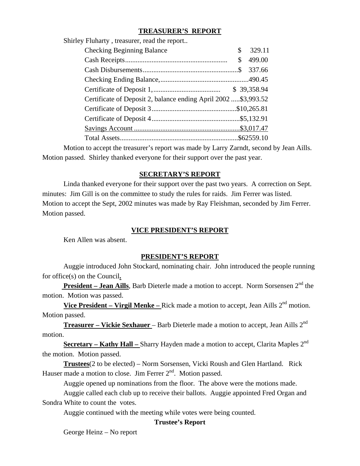# **TREASURER'S REPORT**

| Shirley Fluharty, treasurer, read the report                    |    |        |
|-----------------------------------------------------------------|----|--------|
| <b>Checking Beginning Balance</b>                               | \$ | 329.11 |
|                                                                 | \$ | 499.00 |
|                                                                 |    | 337.66 |
|                                                                 |    |        |
|                                                                 |    |        |
| Certificate of Deposit 2, balance ending April 2002  \$3,993.52 |    |        |
|                                                                 |    |        |
|                                                                 |    |        |
|                                                                 |    |        |
|                                                                 |    |        |
|                                                                 |    |        |

Motion to accept the treasurer's report was made by Larry Zarndt, second by Jean Aills. Motion passed. Shirley thanked everyone for their support over the past year.

### **SECRETARY'S REPORT**

Linda thanked everyone for their support over the past two years. A correction on Sept. minutes: Jim Gill is on the committee to study the rules for raids. Jim Ferrer was listed. Motion to accept the Sept, 2002 minutes was made by Ray Fleishman, seconded by Jim Ferrer. Motion passed.

### **VICE PRESIDENT'S REPORT**

Ken Allen was absent.

# **PRESIDENT'S REPORT**

Auggie introduced John Stockard, nominating chair. John introduced the people running for office(s) on the Council**.**

**President – Jean Aills**, Barb Dieterle made a motion to accept. Norm Sorsensen 2<sup>nd</sup> the motion. Motion was passed.

Vice President – Virgil Menke – Rick made a motion to accept, Jean Aills 2<sup>nd</sup> motion. Motion passed.

**Treasurer – Vickie Sexhauer – Barb Dieterle made a motion to accept, Jean Aills 2<sup>nd</sup>** motion.

**<u>Secretary – Kathy Hall – Sharry Hayden made a motion to accept, Clarita Maples 2<sup>nd</sup>**</u> the motion. Motion passed.

**Trustees**(2 to be elected) – Norm Sorsensen, Vicki Roush and Glen Hartland. Rick Hauser made a motion to close. Jim Ferrer 2<sup>nd</sup>. Motion passed.

Auggie opened up nominations from the floor. The above were the motions made.

Auggie called each club up to receive their ballots. Auggie appointed Fred Organ and Sondra White to count the votes.

Auggie continued with the meeting while votes were being counted.

# **Trustee's Report**

George Heinz – No report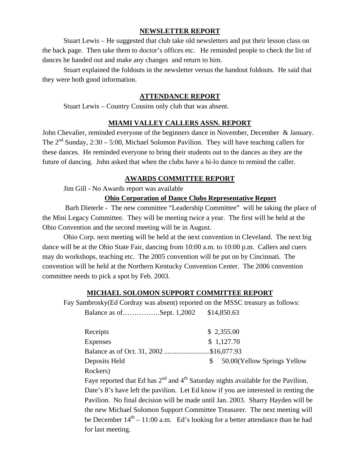# **NEWSLETTER REPORT**

Stuart Lewis – He suggested that club take old newsletters and put their lesson class on the back page. Then take them to doctor's offices etc. He reminded people to check the list of dances he handed out and make any changes and return to him.

Stuart explained the foldouts in the newsletter versus the handout foldouts. He said that they were both good information.

### **ATTENDANCE REPORT**

Stuart Lewis – Country Cousins only club that was absent.

### **MIAMI VALLEY CALLERS ASSN. REPORT**

John Chevalier, reminded everyone of the beginners dance in November, December & January. The  $2<sup>nd</sup>$  Sunday, 2:30 – 5:00, Michael Solomon Pavilion. They will have teaching callers for these dances. He reminded everyone to bring their students out to the dances as they are the future of dancing. John asked that when the clubs have a hi-lo dance to remind the caller.

### **AWARDS COMMITTEE REPORT**

Jim Gill - No Awards report was available

### **Ohio Corporation of Dance Clubs Representative Report**

 Barb Dieterle - The new committee "Leadership Committee" will be taking the place of the Mini Legacy Committee. They will be meeting twice a year. The first will be held at the Ohio Convention and the second meeting will be in August.

Ohio Corp. next meeting will be held at the next convention in Cleveland. The next big dance will be at the Ohio State Fair, dancing from 10:00 a.m. to 10:00 p.m. Callers and cuers may do workshops, teaching etc. The 2005 convention will be put on by Cincinnati. The convention will be held at the Northern Kentucky Convention Center. The 2006 convention committee needs to pick a spot by Feb. 2003.

### **MICHAEL SOLOMON SUPPORT COMMITTEE REPORT**

Fay Sambrosky(Ed Cordray was absent) reported on the MSSC treasury as follows:

Balance as of…………….Sept. 1,2002 \$14,850.63

| \$2,355.00                             |
|----------------------------------------|
| \$1,127.70                             |
| Balance as of Oct. 31, 2002\$16,077.93 |
| 50.00 (Yellow Springs Yellow           |
|                                        |
|                                        |

Faye reported that Ed has  $2<sup>nd</sup>$  and  $4<sup>th</sup>$  Saturday nights available for the Pavilion. Date's 8's have left the pavilion. Let Ed know if you are interested in renting the Pavilion. No final decision will be made until Jan. 2003. Sharry Hayden will be the new Michael Solomon Support Committee Treasurer. The next meeting will be December  $14<sup>th</sup> - 11:00$  a.m. Ed's looking for a better attendance than he had for last meeting.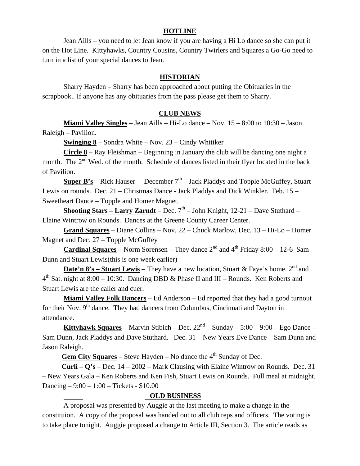### **HOTLINE**

Jean Aills – you need to let Jean know if you are having a Hi Lo dance so she can put it on the Hot Line. Kittyhawks, Country Cousins, Country Twirlers and Squares a Go-Go need to turn in a list of your special dances to Jean.

### **HISTORIAN**

Sharry Hayden – Sharry has been approached about putting the Obituaries in the scrapbook.. If anyone has any obituaries from the pass please get them to Sharry.

### **CLUB NEWS**

**Miami Valley Singles** – Jean Aills – Hi-Lo dance – Nov. 15 – 8:00 to 10:30 – Jason Raleigh – Pavilion.

**Swinging 8** – Sondra White – Nov. 23 – Cindy Whitiker

**Circle 8** – Ray Fleishman – Beginning in January the club will be dancing one night a month. The 2<sup>nd</sup> Wed. of the month. Schedule of dances listed in their flyer located in the back of Pavilion.

**Super B's** – Rick Hauser – December  $7<sup>th</sup>$  – Jack Pladdys and Topple McGuffey, Stuart Lewis on rounds. Dec. 21 – Christmas Dance - Jack Pladdys and Dick Winkler. Feb. 15 – Sweetheart Dance – Topple and Homer Magnet.

**Shooting Stars – Larry Zarndt** – Dec.  $7<sup>th</sup>$  – John Knight, 12-21 – Dave Stuthard – Elaine Wintrow on Rounds. Dances at the Greene County Career Center.

**Grand Squares** – Diane Collins – Nov. 22 – Chuck Marlow, Dec. 13 – Hi-Lo – Homer Magnet and Dec. 27 – Topple McGuffey

**Cardinal Squares** – Norm Sorensen – They dance  $2^{nd}$  and  $4^{th}$  Friday 8:00 – 12-6 Sam Dunn and Stuart Lewis(this is one week earlier)

**Date'n 8's – Stuart Lewis** – They have a new location, Stuart & Faye's home.  $2^{nd}$  and  $4<sup>th</sup>$  Sat. night at 8:00 – 10:30. Dancing DBD & Phase II and III – Rounds. Ken Roberts and Stuart Lewis are the caller and cuer.

**Miami Valley Folk Dancers** – Ed Anderson – Ed reported that they had a good turnout for their Nov.  $9<sup>th</sup>$  dance. They had dancers from Columbus, Cincinnati and Dayton in attendance.

**Kittyhawk Squares** – Marvin Stibich – Dec.  $22<sup>nd</sup>$  – Sunday –  $5:00$  –  $9:00$  – Ego Dance – Sam Dunn, Jack Pladdys and Dave Stuthard. Dec. 31 – New Years Eve Dance – Sam Dunn and Jason Raleigh.

**<u>Gem City Squares</u>** – Steve Hayden – No dance the  $4<sup>th</sup>$  Sunday of Dec.

 **Curli – Q's** – Dec. 14 – 2002 – Mark Clausing with Elaine Wintrow on Rounds. Dec. 31 – New Years Gala – Ken Roberts and Ken Fish, Stuart Lewis on Rounds. Full meal at midnight. Dancing – 9:00 – 1:00 – Tickets - \$10.00

### **OLD BUSINESS**

A proposal was presented by Auggie at the last meeting to make a change in the constituion. A copy of the proposal was handed out to all club reps and officers. The voting is to take place tonight. Auggie proposed a change to Article III, Section 3. The article reads as